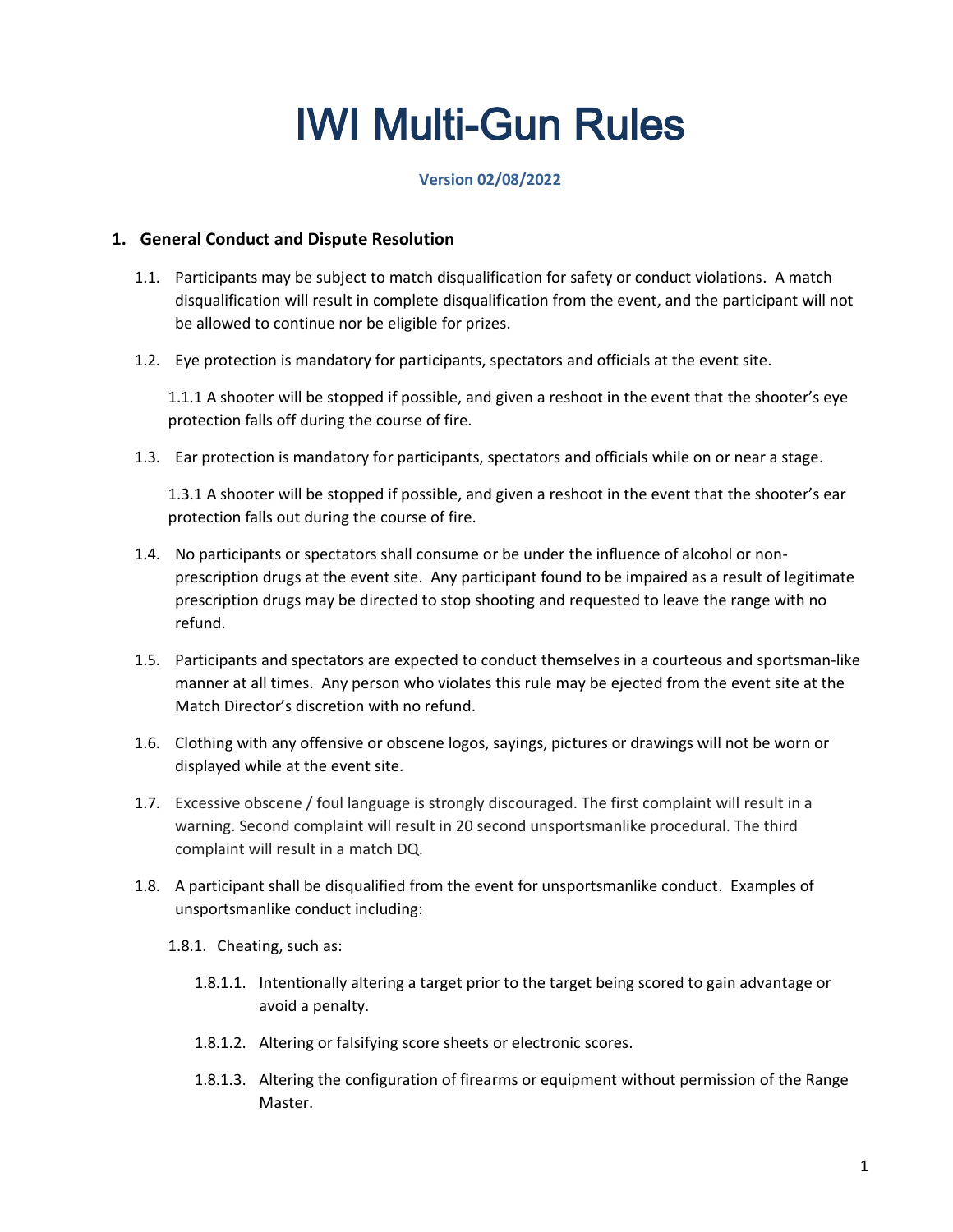# IWI Multi-Gun Rules

#### **Version 02/08/2022**

## **1. General Conduct and Dispute Resolution**

- 1.1. Participants may be subject to match disqualification for safety or conduct violations. A match disqualification will result in complete disqualification from the event, and the participant will not be allowed to continue nor be eligible for prizes.
- 1.2. Eye protection is mandatory for participants, spectators and officials at the event site.

1.1.1 A shooter will be stopped if possible, and given a reshoot in the event that the shooter's eye protection falls off during the course of fire.

1.3. Ear protection is mandatory for participants, spectators and officials while on or near a stage.

1.3.1 A shooter will be stopped if possible, and given a reshoot in the event that the shooter's ear protection falls out during the course of fire.

- 1.4. No participants or spectators shall consume or be under the influence of alcohol or nonprescription drugs at the event site. Any participant found to be impaired as a result of legitimate prescription drugs may be directed to stop shooting and requested to leave the range with no refund.
- 1.5. Participants and spectators are expected to conduct themselves in a courteous and sportsman-like manner at all times. Any person who violates this rule may be ejected from the event site at the Match Director's discretion with no refund.
- 1.6. Clothing with any offensive or obscene logos, sayings, pictures or drawings will not be worn or displayed while at the event site.
- 1.7. Excessive obscene / foul language is strongly discouraged. The first complaint will result in a warning. Second complaint will result in 20 second unsportsmanlike procedural. The third complaint will result in a match DQ.
- 1.8. A participant shall be disqualified from the event for unsportsmanlike conduct. Examples of unsportsmanlike conduct including:
	- 1.8.1. Cheating, such as:
		- 1.8.1.1. Intentionally altering a target prior to the target being scored to gain advantage or avoid a penalty.
		- 1.8.1.2. Altering or falsifying score sheets or electronic scores.
		- 1.8.1.3. Altering the configuration of firearms or equipment without permission of the Range Master.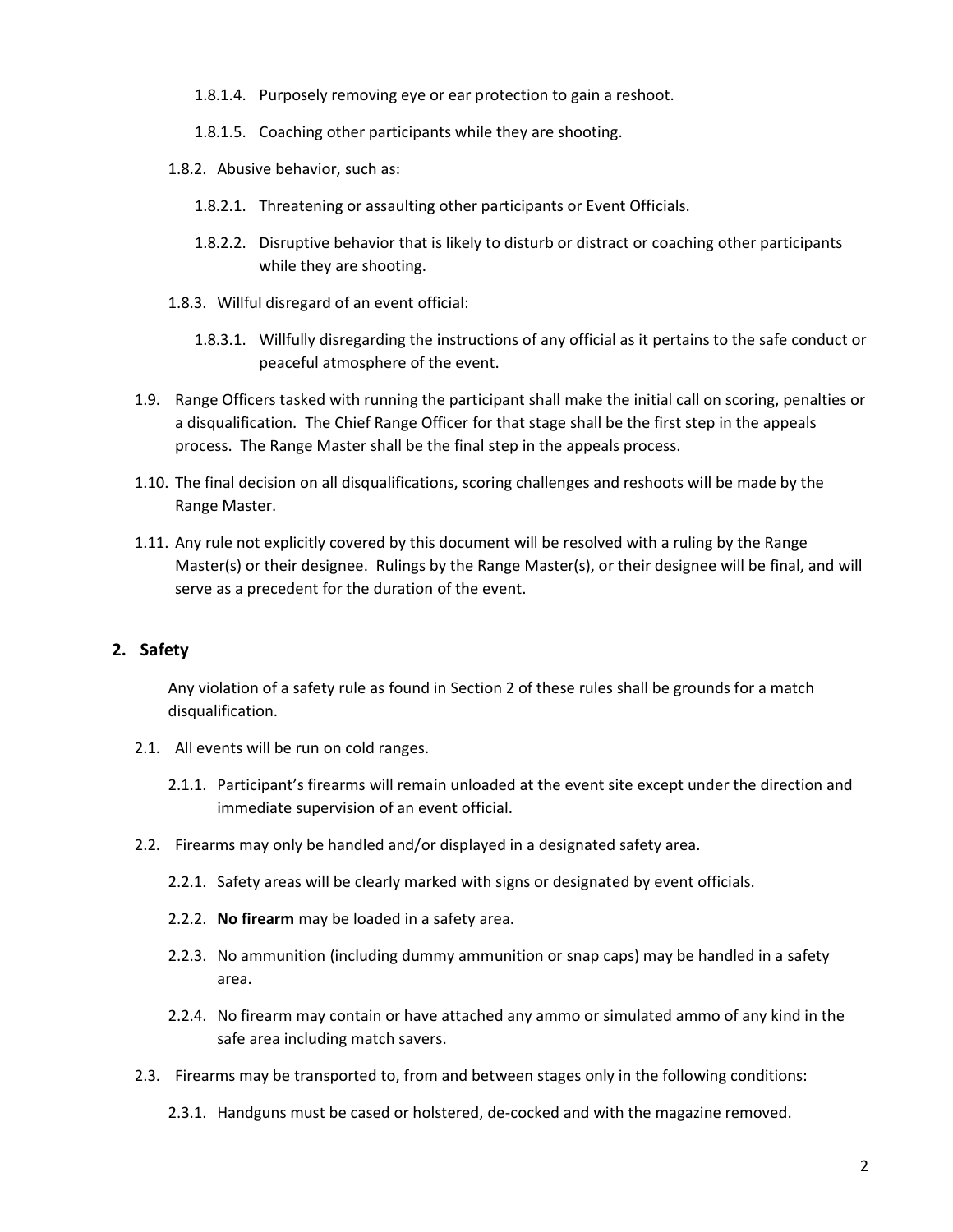- 1.8.1.4. Purposely removing eye or ear protection to gain a reshoot.
- 1.8.1.5. Coaching other participants while they are shooting.
- 1.8.2. Abusive behavior, such as:
	- 1.8.2.1. Threatening or assaulting other participants or Event Officials.
	- 1.8.2.2. Disruptive behavior that is likely to disturb or distract or coaching other participants while they are shooting.
- 1.8.3. Willful disregard of an event official:
	- 1.8.3.1. Willfully disregarding the instructions of any official as it pertains to the safe conduct or peaceful atmosphere of the event.
- 1.9. Range Officers tasked with running the participant shall make the initial call on scoring, penalties or a disqualification. The Chief Range Officer for that stage shall be the first step in the appeals process. The Range Master shall be the final step in the appeals process.
- 1.10. The final decision on all disqualifications, scoring challenges and reshoots will be made by the Range Master.
- 1.11. Any rule not explicitly covered by this document will be resolved with a ruling by the Range Master(s) or their designee. Rulings by the Range Master(s), or their designee will be final, and will serve as a precedent for the duration of the event.

#### **2. Safety**

Any violation of a safety rule as found in Section 2 of these rules shall be grounds for a match disqualification.

- 2.1. All events will be run on cold ranges.
	- 2.1.1. Participant's firearms will remain unloaded at the event site except under the direction and immediate supervision of an event official.
- 2.2. Firearms may only be handled and/or displayed in a designated safety area.
	- 2.2.1. Safety areas will be clearly marked with signs or designated by event officials.
	- 2.2.2. **No firearm** may be loaded in a safety area.
	- 2.2.3. No ammunition (including dummy ammunition or snap caps) may be handled in a safety area.
	- 2.2.4. No firearm may contain or have attached any ammo or simulated ammo of any kind in the safe area including match savers.
- 2.3. Firearms may be transported to, from and between stages only in the following conditions:
	- 2.3.1. Handguns must be cased or holstered, de-cocked and with the magazine removed.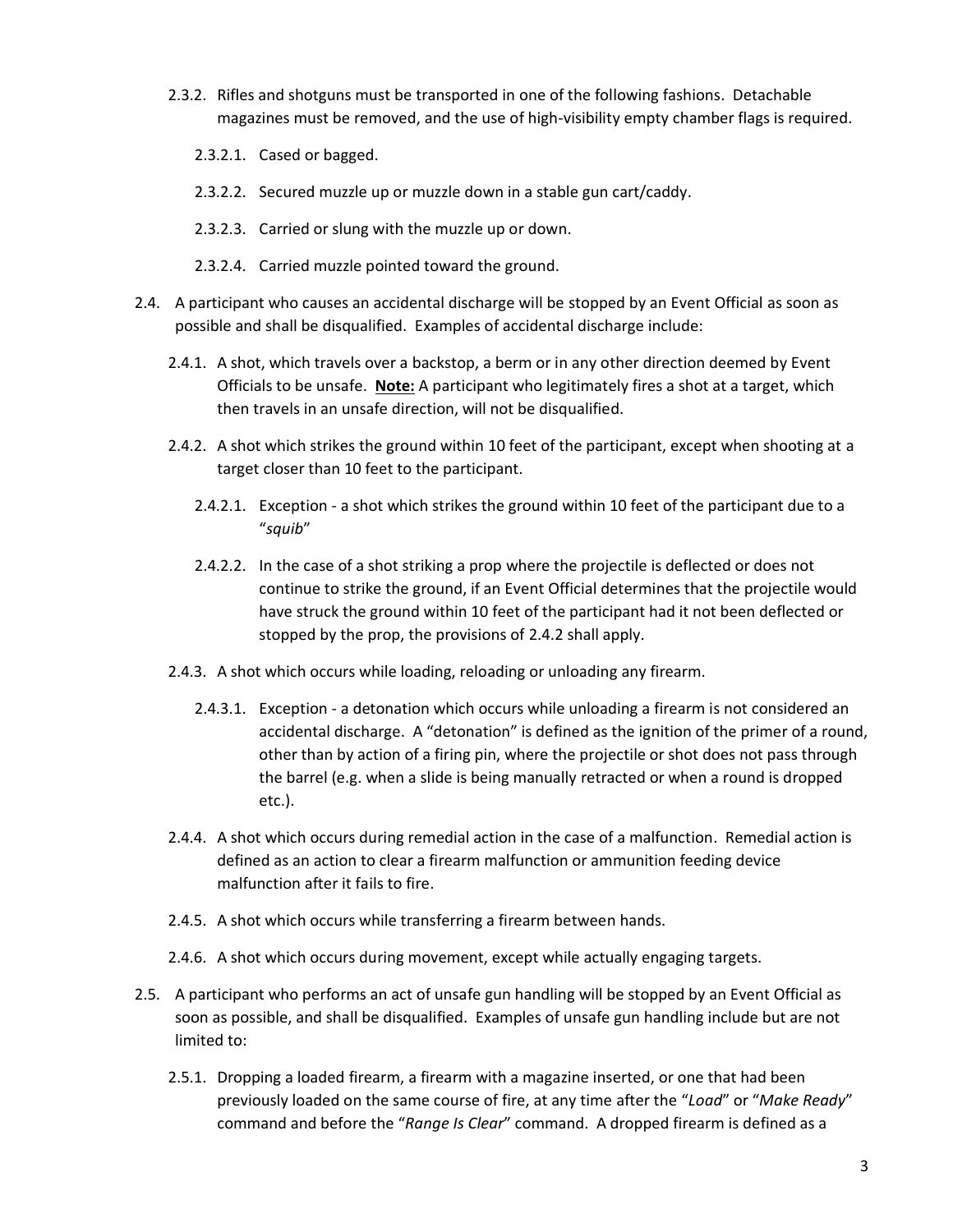- 2.3.2. Rifles and shotguns must be transported in one of the following fashions. Detachable magazines must be removed, and the use of high-visibility empty chamber flags is required.
	- 2.3.2.1. Cased or bagged.
	- 2.3.2.2. Secured muzzle up or muzzle down in a stable gun cart/caddy.
	- 2.3.2.3. Carried or slung with the muzzle up or down.
	- 2.3.2.4. Carried muzzle pointed toward the ground.
- <span id="page-2-0"></span>2.4. A participant who causes an accidental discharge will be stopped by an Event Official as soon as possible and shall be disqualified. Examples of accidental discharge include:
	- 2.4.1. A shot, which travels over a backstop, a berm or in any other direction deemed by Event Officials to be unsafe. **Note:** A participant who legitimately fires a shot at a target, which then travels in an unsafe direction, will not be disqualified.
	- 2.4.2. A shot which strikes the ground within 10 feet of the participant, except when shooting at a target closer than 10 feet to the participant.
		- 2.4.2.1. Exception a shot which strikes the ground within 10 feet of the participant due to a "*squib*"
		- 2.4.2.2. In the case of a shot striking a prop where the projectile is deflected or does not continue to strike the ground, if an Event Official determines that the projectile would have struck the ground within 10 feet of the participant had it not been deflected or stopped by the prop, the provisions of [2.4.2](#page-2-0) shall apply.
	- 2.4.3. A shot which occurs while loading, reloading or unloading any firearm.
		- 2.4.3.1. Exception a detonation which occurs while unloading a firearm is not considered an accidental discharge. A "detonation" is defined as the ignition of the primer of a round, other than by action of a firing pin, where the projectile or shot does not pass through the barrel (e.g. when a slide is being manually retracted or when a round is dropped etc.).
	- 2.4.4. A shot which occurs during remedial action in the case of a malfunction. Remedial action is defined as an action to clear a firearm malfunction or ammunition feeding device malfunction after it fails to fire.
	- 2.4.5. A shot which occurs while transferring a firearm between hands.
	- 2.4.6. A shot which occurs during movement, except while actually engaging targets.
- 2.5. A participant who performs an act of unsafe gun handling will be stopped by an Event Official as soon as possible, and shall be disqualified. Examples of unsafe gun handling include but are not limited to:
	- 2.5.1. Dropping a loaded firearm, a firearm with a magazine inserted, or one that had been previously loaded on the same course of fire, at any time after the "*Load*" or "*Make Ready*" command and before the "*Range Is Clear*" command. A dropped firearm is defined as a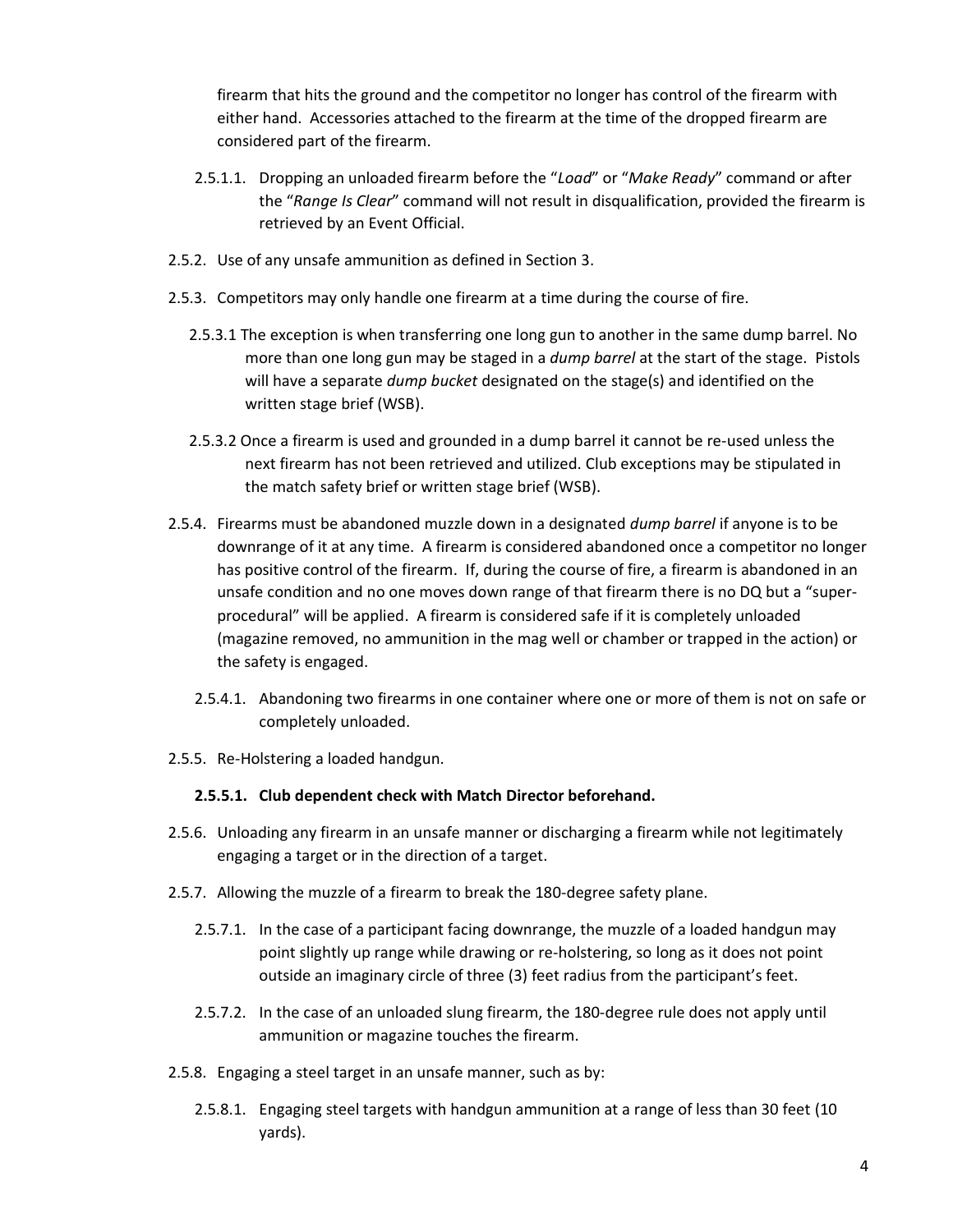firearm that hits the ground and the competitor no longer has control of the firearm with either hand. Accessories attached to the firearm at the time of the dropped firearm are considered part of the firearm.

- 2.5.1.1. Dropping an unloaded firearm before the "*Load*" or "*Make Ready*" command or after the "*Range Is Clear*" command will not result in disqualification, provided the firearm is retrieved by an Event Official.
- 2.5.2. Use of any unsafe ammunition as defined in Section 3.
- 2.5.3. Competitors may only handle one firearm at a time during the course of fire.
	- 2.5.3.1 The exception is when transferring one long gun to another in the same dump barrel. No more than one long gun may be staged in a *dump barrel* at the start of the stage. Pistols will have a separate *dump bucket* designated on the stage(s) and identified on the written stage brief (WSB).
	- 2.5.3.2 Once a firearm is used and grounded in a dump barrel it cannot be re-used unless the next firearm has not been retrieved and utilized. Club exceptions may be stipulated in the match safety brief or written stage brief (WSB).
- 2.5.4. Firearms must be abandoned muzzle down in a designated *dump barrel* if anyone is to be downrange of it at any time. A firearm is considered abandoned once a competitor no longer has positive control of the firearm. If, during the course of fire, a firearm is abandoned in an unsafe condition and no one moves down range of that firearm there is no DQ but a "superprocedural" will be applied. A firearm is considered safe if it is completely unloaded (magazine removed, no ammunition in the mag well or chamber or trapped in the action) or the safety is engaged.
	- 2.5.4.1. Abandoning two firearms in one container where one or more of them is not on safe or completely unloaded.
- 2.5.5. Re-Holstering a loaded handgun.

#### **2.5.5.1. Club dependent check with Match Director beforehand.**

- 2.5.6. Unloading any firearm in an unsafe manner or discharging a firearm while not legitimately engaging a target or in the direction of a target.
- 2.5.7. Allowing the muzzle of a firearm to break the 180-degree safety plane.
	- 2.5.7.1. In the case of a participant facing downrange, the muzzle of a loaded handgun may point slightly up range while drawing or re-holstering, so long as it does not point outside an imaginary circle of three (3) feet radius from the participant's feet.
	- 2.5.7.2. In the case of an unloaded slung firearm, the 180-degree rule does not apply until ammunition or magazine touches the firearm.
- 2.5.8. Engaging a steel target in an unsafe manner, such as by:
	- 2.5.8.1. Engaging steel targets with handgun ammunition at a range of less than 30 feet (10 yards).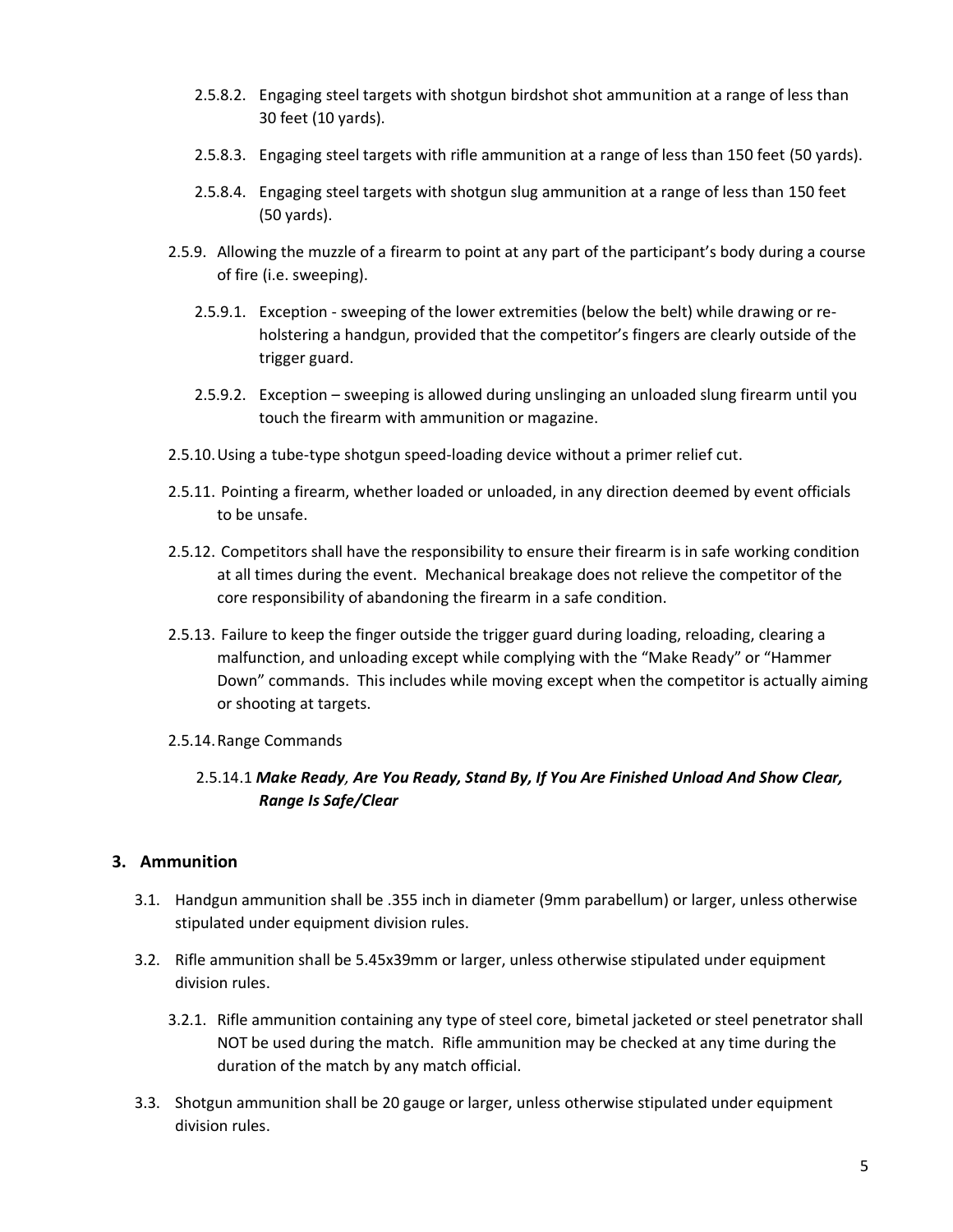- 2.5.8.2. Engaging steel targets with shotgun birdshot shot ammunition at a range of less than 30 feet (10 yards).
- 2.5.8.3. Engaging steel targets with rifle ammunition at a range of less than 150 feet (50 yards).
- 2.5.8.4. Engaging steel targets with shotgun slug ammunition at a range of less than 150 feet (50 yards).
- 2.5.9. Allowing the muzzle of a firearm to point at any part of the participant's body during a course of fire (i.e. sweeping).
	- 2.5.9.1. Exception sweeping of the lower extremities (below the belt) while drawing or reholstering a handgun, provided that the competitor's fingers are clearly outside of the trigger guard.
	- 2.5.9.2. Exception sweeping is allowed during unslinging an unloaded slung firearm until you touch the firearm with ammunition or magazine.
- 2.5.10.Using a tube-type shotgun speed-loading device without a primer relief cut.
- 2.5.11. Pointing a firearm, whether loaded or unloaded, in any direction deemed by event officials to be unsafe.
- 2.5.12. Competitors shall have the responsibility to ensure their firearm is in safe working condition at all times during the event. Mechanical breakage does not relieve the competitor of the core responsibility of abandoning the firearm in a safe condition.
- 2.5.13. Failure to keep the finger outside the trigger guard during loading, reloading, clearing a malfunction, and unloading except while complying with the "Make Ready" or "Hammer Down" commands. This includes while moving except when the competitor is actually aiming or shooting at targets.

#### 2.5.14.Range Commands

# 2.5.14.1 *Make Ready, Are You Ready, Stand By, If You Are Finished Unload And Show Clear, Range Is Safe/Clear*

#### **3. Ammunition**

- 3.1. Handgun ammunition shall be .355 inch in diameter (9mm parabellum) or larger, unless otherwise stipulated under equipment division rules.
- 3.2. Rifle ammunition shall be 5.45x39mm or larger, unless otherwise stipulated under equipment division rules.
	- 3.2.1. Rifle ammunition containing any type of steel core, bimetal jacketed or steel penetrator shall NOT be used during the match. Rifle ammunition may be checked at any time during the duration of the match by any match official.
- 3.3. Shotgun ammunition shall be 20 gauge or larger, unless otherwise stipulated under equipment division rules.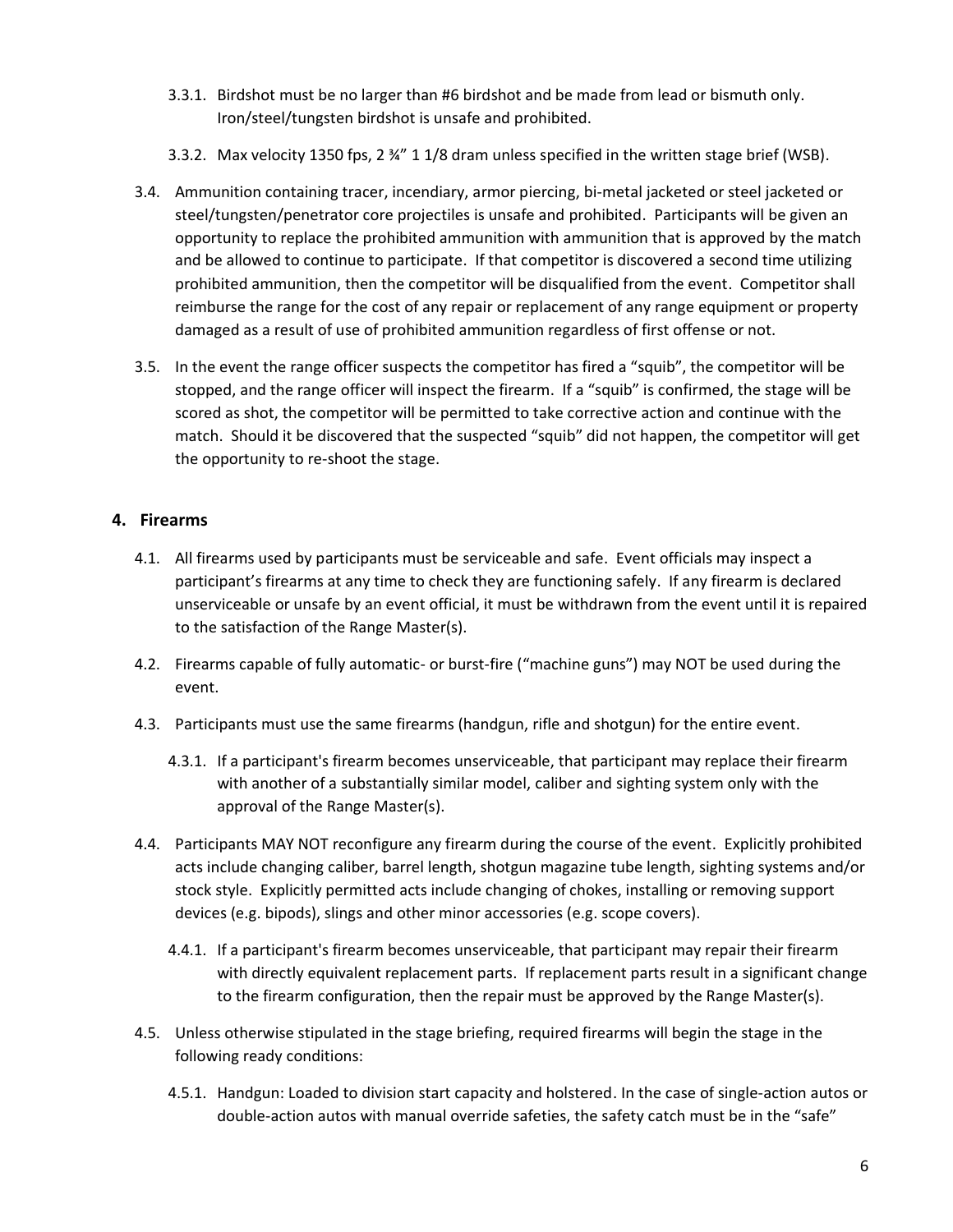- 3.3.1. Birdshot must be no larger than #6 birdshot and be made from lead or bismuth only. Iron/steel/tungsten birdshot is unsafe and prohibited.
- 3.3.2. Max velocity 1350 fps, 2 ¾" 1 1/8 dram unless specified in the written stage brief (WSB).
- 3.4. Ammunition containing tracer, incendiary, armor piercing, bi-metal jacketed or steel jacketed or steel/tungsten/penetrator core projectiles is unsafe and prohibited. Participants will be given an opportunity to replace the prohibited ammunition with ammunition that is approved by the match and be allowed to continue to participate. If that competitor is discovered a second time utilizing prohibited ammunition, then the competitor will be disqualified from the event. Competitor shall reimburse the range for the cost of any repair or replacement of any range equipment or property damaged as a result of use of prohibited ammunition regardless of first offense or not.
- 3.5. In the event the range officer suspects the competitor has fired a "squib", the competitor will be stopped, and the range officer will inspect the firearm. If a "squib" is confirmed, the stage will be scored as shot, the competitor will be permitted to take corrective action and continue with the match. Should it be discovered that the suspected "squib" did not happen, the competitor will get the opportunity to re-shoot the stage.

## **4. Firearms**

- 4.1. All firearms used by participants must be serviceable and safe. Event officials may inspect a participant's firearms at any time to check they are functioning safely. If any firearm is declared unserviceable or unsafe by an event official, it must be withdrawn from the event until it is repaired to the satisfaction of the Range Master(s).
- 4.2. Firearms capable of fully automatic- or burst-fire ("machine guns") may NOT be used during the event.
- 4.3. Participants must use the same firearms (handgun, rifle and shotgun) for the entire event.
	- 4.3.1. If a participant's firearm becomes unserviceable, that participant may replace their firearm with another of a substantially similar model, caliber and sighting system only with the approval of the Range Master(s).
- 4.4. Participants MAY NOT reconfigure any firearm during the course of the event. Explicitly prohibited acts include changing caliber, barrel length, shotgun magazine tube length, sighting systems and/or stock style. Explicitly permitted acts include changing of chokes, installing or removing support devices (e.g. bipods), slings and other minor accessories (e.g. scope covers).
	- 4.4.1. If a participant's firearm becomes unserviceable, that participant may repair their firearm with directly equivalent replacement parts. If replacement parts result in a significant change to the firearm configuration, then the repair must be approved by the Range Master(s).
- 4.5. Unless otherwise stipulated in the stage briefing, required firearms will begin the stage in the following ready conditions:
	- 4.5.1. Handgun: Loaded to division start capacity and holstered. In the case of single-action autos or double-action autos with manual override safeties, the safety catch must be in the "safe"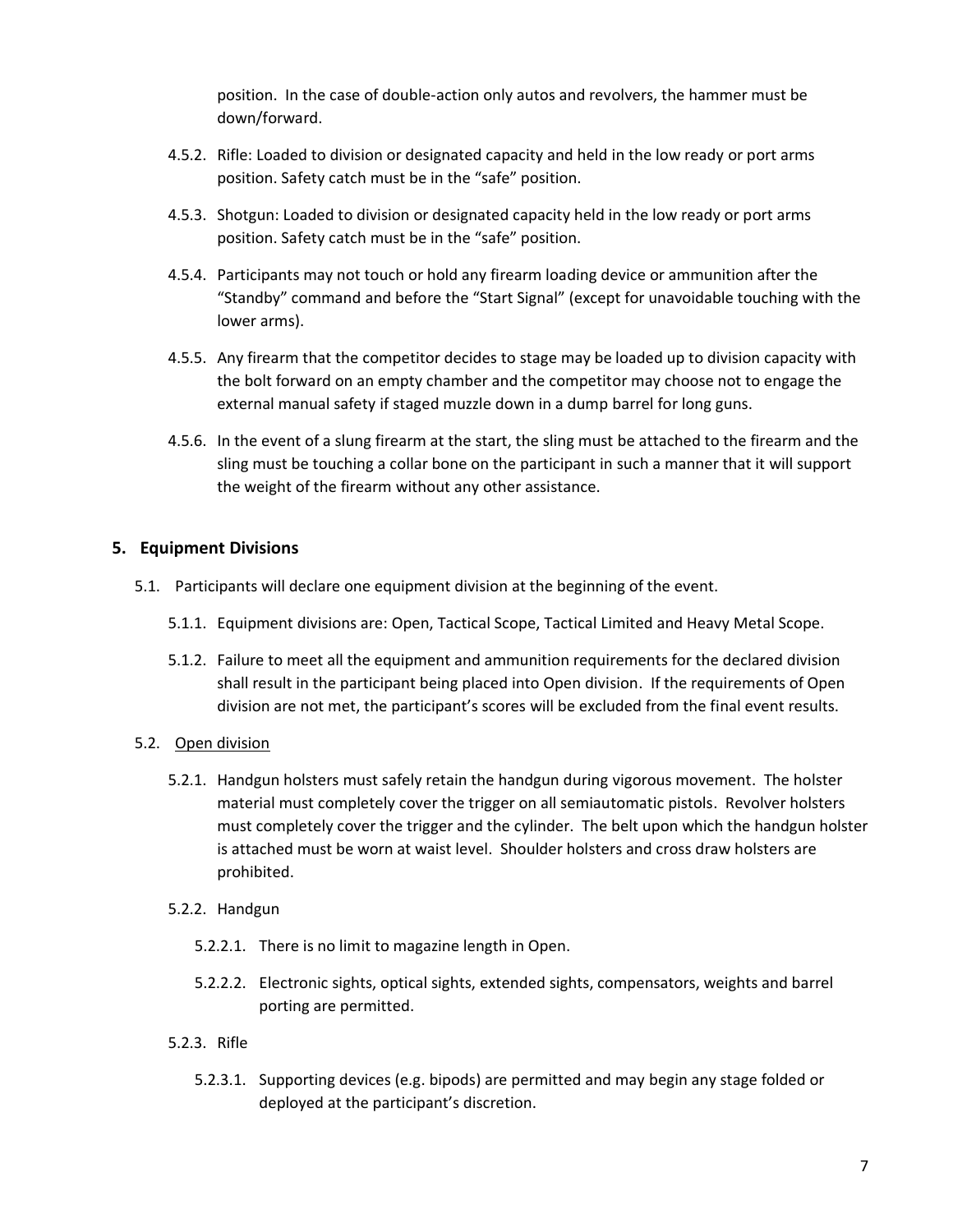position. In the case of double-action only autos and revolvers, the hammer must be down/forward.

- 4.5.2. Rifle: Loaded to division or designated capacity and held in the low ready or port arms position. Safety catch must be in the "safe" position.
- 4.5.3. Shotgun: Loaded to division or designated capacity held in the low ready or port arms position. Safety catch must be in the "safe" position.
- 4.5.4. Participants may not touch or hold any firearm loading device or ammunition after the "Standby" command and before the "Start Signal" (except for unavoidable touching with the lower arms).
- 4.5.5. Any firearm that the competitor decides to stage may be loaded up to division capacity with the bolt forward on an empty chamber and the competitor may choose not to engage the external manual safety if staged muzzle down in a dump barrel for long guns.
- 4.5.6. In the event of a slung firearm at the start, the sling must be attached to the firearm and the sling must be touching a collar bone on the participant in such a manner that it will support the weight of the firearm without any other assistance.

## **5. Equipment Divisions**

- 5.1. Participants will declare one equipment division at the beginning of the event.
	- 5.1.1. Equipment divisions are: Open, Tactical Scope, Tactical Limited and Heavy Metal Scope.
	- 5.1.2. Failure to meet all the equipment and ammunition requirements for the declared division shall result in the participant being placed into Open division. If the requirements of Open division are not met, the participant's scores will be excluded from the final event results.
- 5.2. Open division
	- 5.2.1. Handgun holsters must safely retain the handgun during vigorous movement. The holster material must completely cover the trigger on all semiautomatic pistols. Revolver holsters must completely cover the trigger and the cylinder. The belt upon which the handgun holster is attached must be worn at waist level. Shoulder holsters and cross draw holsters are prohibited.
	- 5.2.2. Handgun
		- 5.2.2.1. There is no limit to magazine length in Open.
		- 5.2.2.2. Electronic sights, optical sights, extended sights, compensators, weights and barrel porting are permitted.
	- 5.2.3. Rifle
		- 5.2.3.1. Supporting devices (e.g. bipods) are permitted and may begin any stage folded or deployed at the participant's discretion.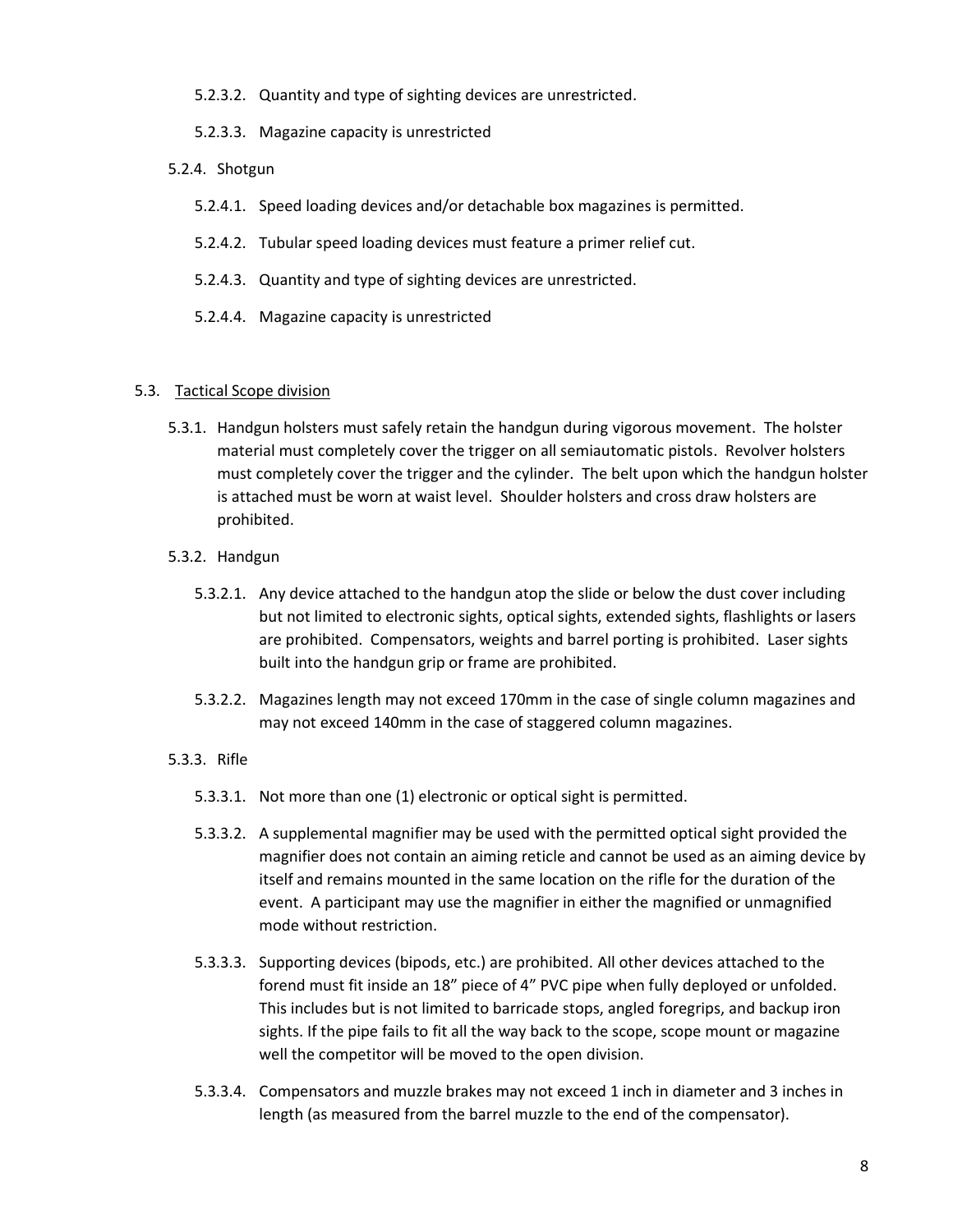- 5.2.3.2. Quantity and type of sighting devices are unrestricted.
- 5.2.3.3. Magazine capacity is unrestricted
- 5.2.4. Shotgun
	- 5.2.4.1. Speed loading devices and/or detachable box magazines is permitted.
	- 5.2.4.2. Tubular speed loading devices must feature a primer relief cut.
	- 5.2.4.3. Quantity and type of sighting devices are unrestricted.
	- 5.2.4.4. Magazine capacity is unrestricted

## 5.3. Tactical Scope division

- 5.3.1. Handgun holsters must safely retain the handgun during vigorous movement. The holster material must completely cover the trigger on all semiautomatic pistols. Revolver holsters must completely cover the trigger and the cylinder. The belt upon which the handgun holster is attached must be worn at waist level. Shoulder holsters and cross draw holsters are prohibited.
- 5.3.2. Handgun
	- 5.3.2.1. Any device attached to the handgun atop the slide or below the dust cover including but not limited to electronic sights, optical sights, extended sights, flashlights or lasers are prohibited. Compensators, weights and barrel porting is prohibited. Laser sights built into the handgun grip or frame are prohibited.
	- 5.3.2.2. Magazines length may not exceed 170mm in the case of single column magazines and may not exceed 140mm in the case of staggered column magazines.

## 5.3.3. Rifle

- 5.3.3.1. Not more than one (1) electronic or optical sight is permitted.
- 5.3.3.2. A supplemental magnifier may be used with the permitted optical sight provided the magnifier does not contain an aiming reticle and cannot be used as an aiming device by itself and remains mounted in the same location on the rifle for the duration of the event. A participant may use the magnifier in either the magnified or unmagnified mode without restriction.
- 5.3.3.3. Supporting devices (bipods, etc.) are prohibited. All other devices attached to the forend must fit inside an 18" piece of 4" PVC pipe when fully deployed or unfolded. This includes but is not limited to barricade stops, angled foregrips, and backup iron sights. If the pipe fails to fit all the way back to the scope, scope mount or magazine well the competitor will be moved to the open division.
- 5.3.3.4. Compensators and muzzle brakes may not exceed 1 inch in diameter and 3 inches in length (as measured from the barrel muzzle to the end of the compensator).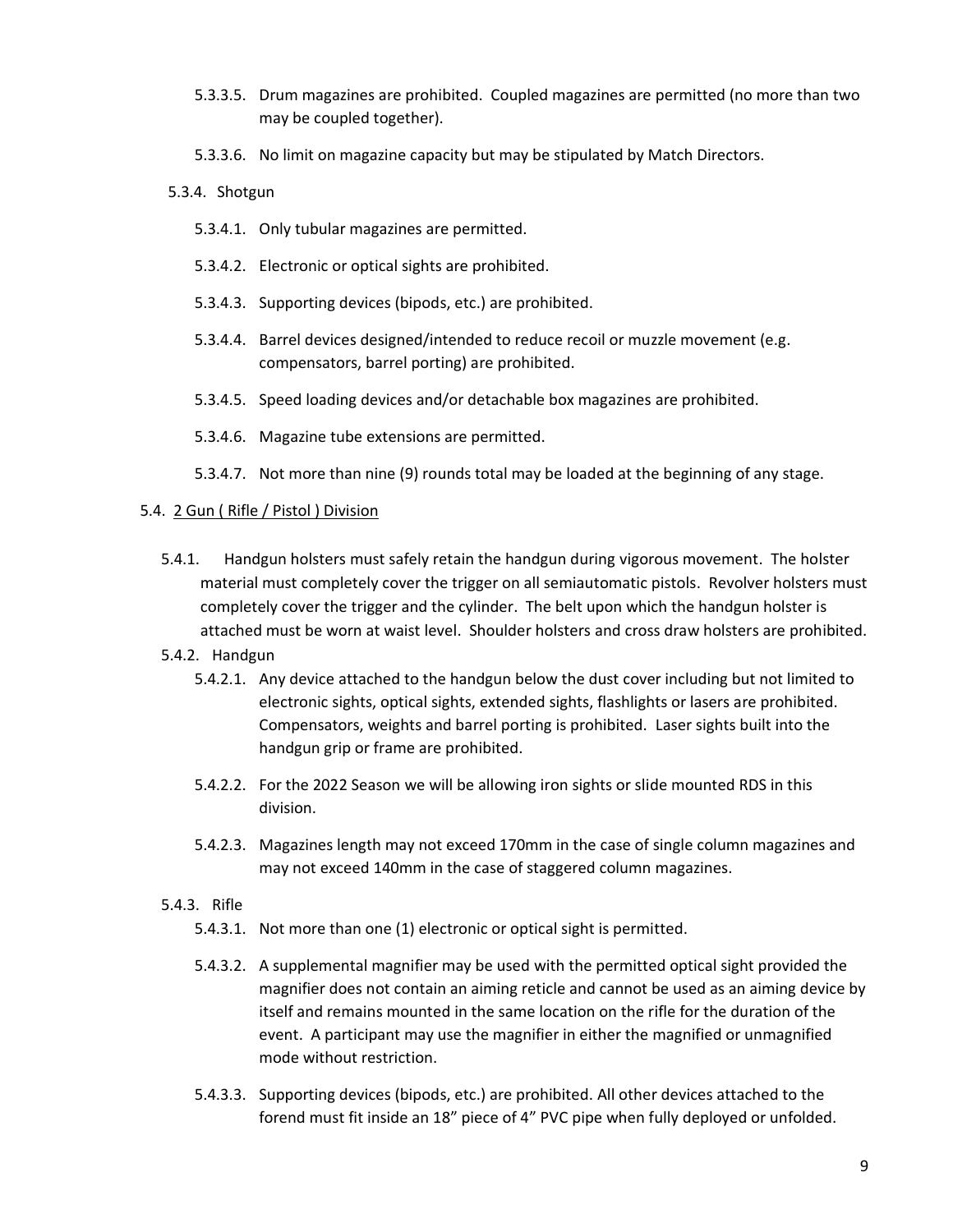- 5.3.3.5. Drum magazines are prohibited. Coupled magazines are permitted (no more than two may be coupled together).
- 5.3.3.6. No limit on magazine capacity but may be stipulated by Match Directors.

#### 5.3.4. Shotgun

- 5.3.4.1. Only tubular magazines are permitted.
- 5.3.4.2. Electronic or optical sights are prohibited.
- 5.3.4.3. Supporting devices (bipods, etc.) are prohibited.
- 5.3.4.4. Barrel devices designed/intended to reduce recoil or muzzle movement (e.g. compensators, barrel porting) are prohibited.
- 5.3.4.5. Speed loading devices and/or detachable box magazines are prohibited.
- 5.3.4.6. Magazine tube extensions are permitted.
- 5.3.4.7. Not more than nine (9) rounds total may be loaded at the beginning of any stage.

## 5.4. 2 Gun ( Rifle / Pistol ) Division

- 5.4.1. Handgun holsters must safely retain the handgun during vigorous movement. The holster material must completely cover the trigger on all semiautomatic pistols. Revolver holsters must completely cover the trigger and the cylinder. The belt upon which the handgun holster is attached must be worn at waist level. Shoulder holsters and cross draw holsters are prohibited.
- 5.4.2. Handgun
	- 5.4.2.1. Any device attached to the handgun below the dust cover including but not limited to electronic sights, optical sights, extended sights, flashlights or lasers are prohibited. Compensators, weights and barrel porting is prohibited. Laser sights built into the handgun grip or frame are prohibited.
	- 5.4.2.2. For the 2022 Season we will be allowing iron sights or slide mounted RDS in this division.
	- 5.4.2.3. Magazines length may not exceed 170mm in the case of single column magazines and may not exceed 140mm in the case of staggered column magazines.

#### 5.4.3. Rifle

- 5.4.3.1. Not more than one (1) electronic or optical sight is permitted.
- 5.4.3.2. A supplemental magnifier may be used with the permitted optical sight provided the magnifier does not contain an aiming reticle and cannot be used as an aiming device by itself and remains mounted in the same location on the rifle for the duration of the event. A participant may use the magnifier in either the magnified or unmagnified mode without restriction.
- 5.4.3.3. Supporting devices (bipods, etc.) are prohibited. All other devices attached to the forend must fit inside an 18" piece of 4" PVC pipe when fully deployed or unfolded.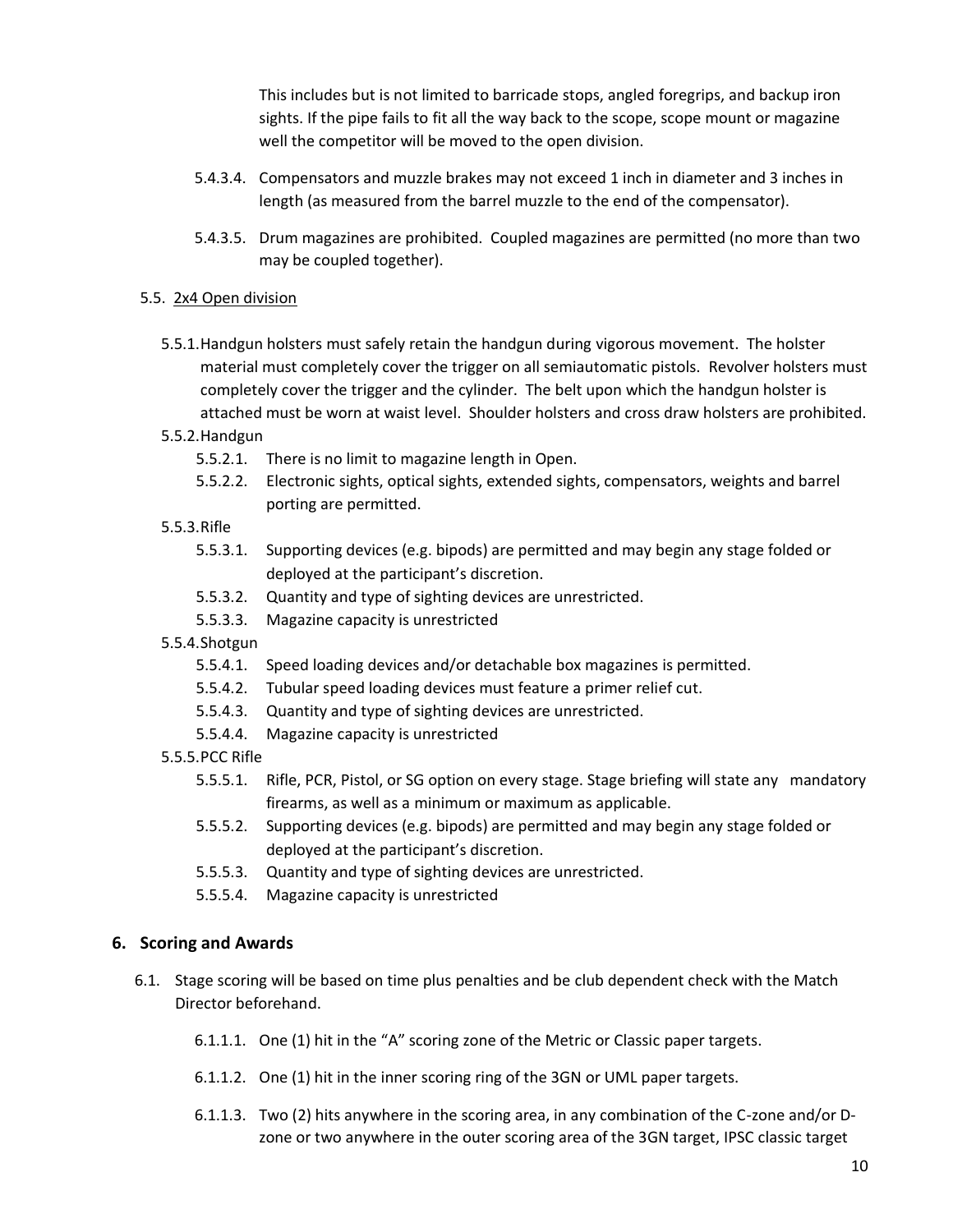This includes but is not limited to barricade stops, angled foregrips, and backup iron sights. If the pipe fails to fit all the way back to the scope, scope mount or magazine well the competitor will be moved to the open division.

- 5.4.3.4. Compensators and muzzle brakes may not exceed 1 inch in diameter and 3 inches in length (as measured from the barrel muzzle to the end of the compensator).
- 5.4.3.5. Drum magazines are prohibited. Coupled magazines are permitted (no more than two may be coupled together).

## 5.5. 2x4 Open division

- 5.5.1.Handgun holsters must safely retain the handgun during vigorous movement. The holster material must completely cover the trigger on all semiautomatic pistols. Revolver holsters must completely cover the trigger and the cylinder. The belt upon which the handgun holster is attached must be worn at waist level. Shoulder holsters and cross draw holsters are prohibited.
- 5.5.2.Handgun
	- 5.5.2.1. There is no limit to magazine length in Open.
	- 5.5.2.2. Electronic sights, optical sights, extended sights, compensators, weights and barrel porting are permitted.

## 5.5.3.Rifle

- 5.5.3.1. Supporting devices (e.g. bipods) are permitted and may begin any stage folded or deployed at the participant's discretion.
- 5.5.3.2. Quantity and type of sighting devices are unrestricted.
- 5.5.3.3. Magazine capacity is unrestricted
- 5.5.4.Shotgun
	- 5.5.4.1. Speed loading devices and/or detachable box magazines is permitted.
	- 5.5.4.2. Tubular speed loading devices must feature a primer relief cut.
	- 5.5.4.3. Quantity and type of sighting devices are unrestricted.
	- 5.5.4.4. Magazine capacity is unrestricted

## 5.5.5.PCC Rifle

- 5.5.5.1. Rifle, PCR, Pistol, or SG option on every stage. Stage briefing will state any mandatory firearms, as well as a minimum or maximum as applicable.
- 5.5.5.2. Supporting devices (e.g. bipods) are permitted and may begin any stage folded or deployed at the participant's discretion.
- 5.5.5.3. Quantity and type of sighting devices are unrestricted.
- 5.5.5.4. Magazine capacity is unrestricted

## **6. Scoring and Awards**

- 6.1. Stage scoring will be based on time plus penalties and be club dependent check with the Match Director beforehand.
	- 6.1.1.1. One (1) hit in the "A" scoring zone of the Metric or Classic paper targets.
	- 6.1.1.2. One (1) hit in the inner scoring ring of the 3GN or UML paper targets.
	- 6.1.1.3. Two (2) hits anywhere in the scoring area, in any combination of the C-zone and/or Dzone or two anywhere in the outer scoring area of the 3GN target, IPSC classic target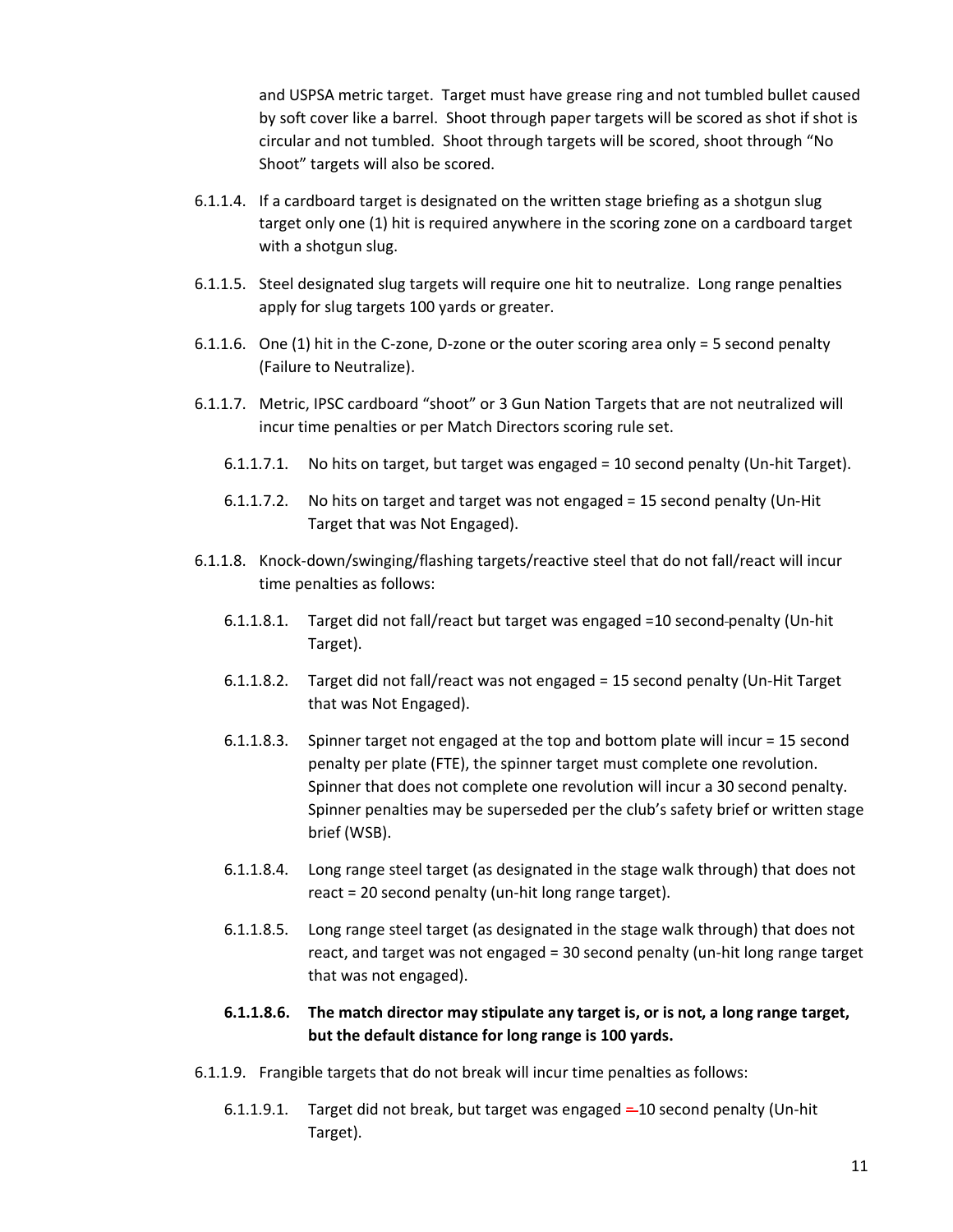and USPSA metric target. Target must have grease ring and not tumbled bullet caused by soft cover like a barrel. Shoot through paper targets will be scored as shot if shot is circular and not tumbled. Shoot through targets will be scored, shoot through "No Shoot" targets will also be scored.

- 6.1.1.4. If a cardboard target is designated on the written stage briefing as a shotgun slug target only one (1) hit is required anywhere in the scoring zone on a cardboard target with a shotgun slug.
- 6.1.1.5. Steel designated slug targets will require one hit to neutralize. Long range penalties apply for slug targets 100 yards or greater.
- 6.1.1.6. One (1) hit in the C-zone, D-zone or the outer scoring area only = 5 second penalty (Failure to Neutralize).
- 6.1.1.7. Metric, IPSC cardboard "shoot" or 3 Gun Nation Targets that are not neutralized will incur time penalties or per Match Directors scoring rule set.
	- 6.1.1.7.1. No hits on target, but target was engaged = 10 second penalty (Un-hit Target).
	- 6.1.1.7.2. No hits on target and target was not engaged = 15 second penalty (Un-Hit Target that was Not Engaged).
- 6.1.1.8. Knock-down/swinging/flashing targets/reactive steel that do not fall/react will incur time penalties as follows:
	- 6.1.1.8.1. Target did not fall/react but target was engaged =10 second penalty (Un-hit Target).
	- 6.1.1.8.2. Target did not fall/react was not engaged = 15 second penalty (Un-Hit Target that was Not Engaged).
	- 6.1.1.8.3. Spinner target not engaged at the top and bottom plate will incur = 15 second penalty per plate (FTE), the spinner target must complete one revolution. Spinner that does not complete one revolution will incur a 30 second penalty. Spinner penalties may be superseded per the club's safety brief or written stage brief (WSB).
	- 6.1.1.8.4. Long range steel target (as designated in the stage walk through) that does not react = 20 second penalty (un-hit long range target).
	- 6.1.1.8.5. Long range steel target (as designated in the stage walk through) that does not react, and target was not engaged = 30 second penalty (un-hit long range target that was not engaged).

#### **6.1.1.8.6. The match director may stipulate any target is, or is not, a long range target, but the default distance for long range is 100 yards.**

- 6.1.1.9. Frangible targets that do not break will incur time penalties as follows:
	- 6.1.1.9.1. Target did not break, but target was engaged = 10 second penalty (Un-hit Target).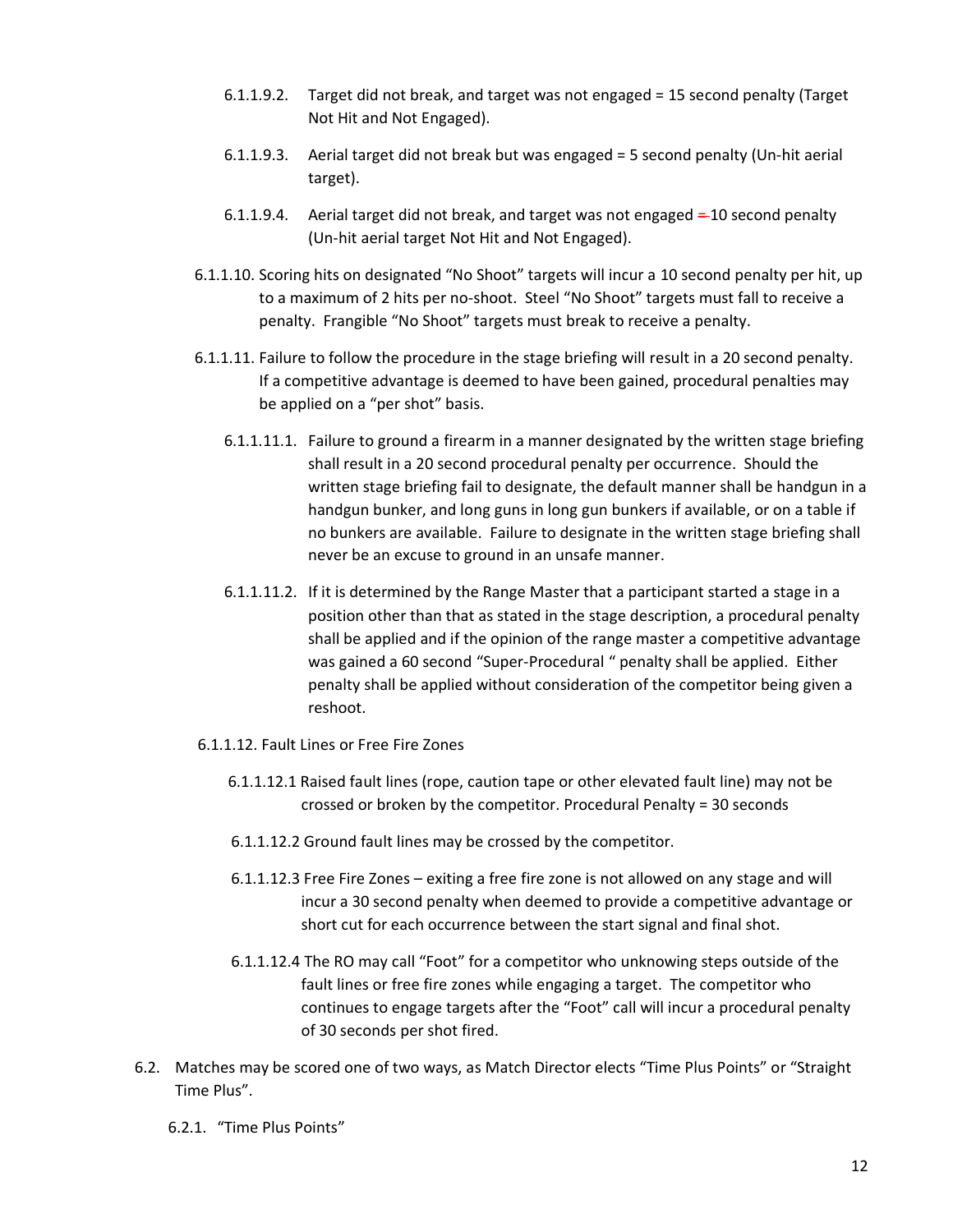- 6.1.1.9.2. Target did not break, and target was not engaged = 15 second penalty (Target Not Hit and Not Engaged).
- 6.1.1.9.3. Aerial target did not break but was engaged = 5 second penalty (Un-hit aerial target).
- 6.1.1.9.4. Aerial target did not break, and target was not engaged = 10 second penalty (Un-hit aerial target Not Hit and Not Engaged).
- 6.1.1.10. Scoring hits on designated "No Shoot" targets will incur a 10 second penalty per hit, up to a maximum of 2 hits per no-shoot. Steel "No Shoot" targets must fall to receive a penalty. Frangible "No Shoot" targets must break to receive a penalty.
- 6.1.1.11. Failure to follow the procedure in the stage briefing will result in a 20 second penalty. If a competitive advantage is deemed to have been gained, procedural penalties may be applied on a "per shot" basis.
	- 6.1.1.11.1. Failure to ground a firearm in a manner designated by the written stage briefing shall result in a 20 second procedural penalty per occurrence. Should the written stage briefing fail to designate, the default manner shall be handgun in a handgun bunker, and long guns in long gun bunkers if available, or on a table if no bunkers are available. Failure to designate in the written stage briefing shall never be an excuse to ground in an unsafe manner.
	- 6.1.1.11.2. If it is determined by the Range Master that a participant started a stage in a position other than that as stated in the stage description, a procedural penalty shall be applied and if the opinion of the range master a competitive advantage was gained a 60 second "Super-Procedural " penalty shall be applied. Either penalty shall be applied without consideration of the competitor being given a reshoot.
- 6.1.1.12. Fault Lines or Free Fire Zones
	- 6.1.1.12.1 Raised fault lines (rope, caution tape or other elevated fault line) may not be crossed or broken by the competitor. Procedural Penalty = 30 seconds
	- 6.1.1.12.2 Ground fault lines may be crossed by the competitor.
	- 6.1.1.12.3 Free Fire Zones exiting a free fire zone is not allowed on any stage and will incur a 30 second penalty when deemed to provide a competitive advantage or short cut for each occurrence between the start signal and final shot.
	- 6.1.1.12.4 The RO may call "Foot" for a competitor who unknowing steps outside of the fault lines or free fire zones while engaging a target. The competitor who continues to engage targets after the "Foot" call will incur a procedural penalty of 30 seconds per shot fired.
- 6.2. Matches may be scored one of two ways, as Match Director elects "Time Plus Points" or "Straight Time Plus".
	- 6.2.1. "Time Plus Points"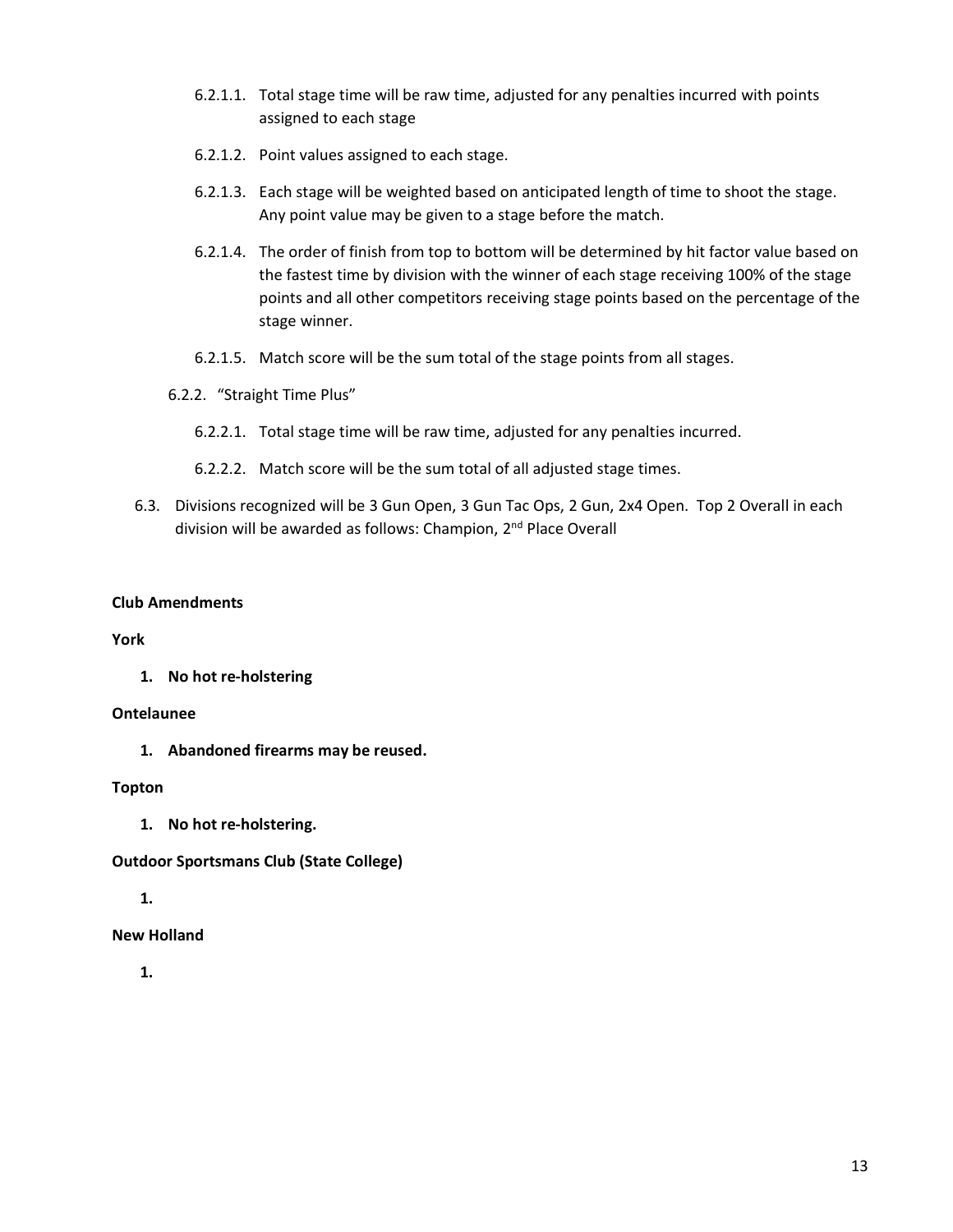- 6.2.1.1. Total stage time will be raw time, adjusted for any penalties incurred with points assigned to each stage
- 6.2.1.2. Point values assigned to each stage.
- 6.2.1.3. Each stage will be weighted based on anticipated length of time to shoot the stage. Any point value may be given to a stage before the match.
- 6.2.1.4. The order of finish from top to bottom will be determined by hit factor value based on the fastest time by division with the winner of each stage receiving 100% of the stage points and all other competitors receiving stage points based on the percentage of the stage winner.
- 6.2.1.5. Match score will be the sum total of the stage points from all stages.
- 6.2.2. "Straight Time Plus"
	- 6.2.2.1. Total stage time will be raw time, adjusted for any penalties incurred.
	- 6.2.2.2. Match score will be the sum total of all adjusted stage times.
- 6.3. Divisions recognized will be 3 Gun Open, 3 Gun Tac Ops, 2 Gun, 2x4 Open. Top 2 Overall in each division will be awarded as follows: Champion, 2<sup>nd</sup> Place Overall

#### **Club Amendments**

#### **York**

**1. No hot re-holstering**

#### **Ontelaunee**

**1. Abandoned firearms may be reused.**

#### **Topton**

**1. No hot re-holstering.**

#### **Outdoor Sportsmans Club (State College)**

**1.**

#### **New Holland**

**1.**